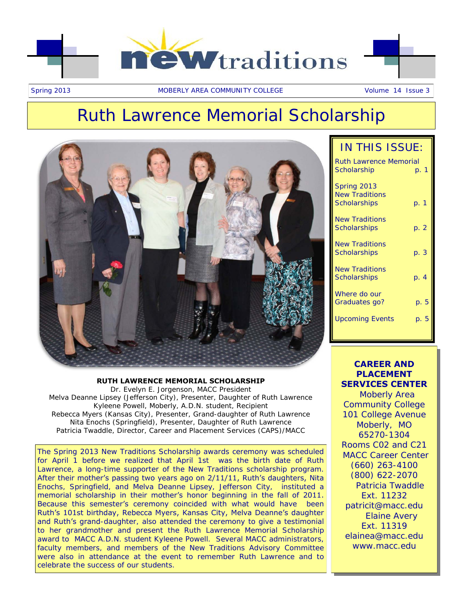

## Ruth Lawrence Memorial Scholarship



### **RUTH LAWRENCE MEMORIAL SCHOLARSHIP** Dr. Evelyn E. Jorgenson, MACC President Melva Deanne Lipsey (Jefferson City), Presenter, Daughter of Ruth Lawrence Kyleene Powell, Moberly, A.D.N. student, Recipient Rebecca Myers (Kansas City), Presenter, Grand-daughter of Ruth Lawrence

Nita Enochs (Springfield), Presenter, Daughter of Ruth Lawrence Patricia Twaddle, Director, Career and Placement Services (CAPS)/MACC

The Spring 2013 New Traditions Scholarship awards ceremony was scheduled for April 1 before we realized that April 1st was the birth date of Ruth Lawrence, a long-time supporter of the New Traditions scholarship program. After their mother's passing two years ago on 2/11/11, Ruth's daughters, Nita Enochs, Springfield, and Melva Deanne Lipsey, Jefferson City, instituted a memorial scholarship in their mother's honor beginning in the fall of 2011. Because this semester's ceremony coincided with what would have been Ruth's 101st birthday, Rebecca Myers, Kansas City, Melva Deanne's daughter and Ruth's grand-daughter, also attended the ceremony to give a testimonial to her grandmother and present the Ruth Lawrence Memorial Scholarship award to MACC A.D.N. student Kyleene Powell. Several MACC administrators, faculty members, and members of the New Traditions Advisory Committee were also in attendance at the event to remember Ruth Lawrence and to celebrate the success of our students.

|  | IN THIS ISSUE: |
|--|----------------|
|--|----------------|

| <b>Ruth Lawrence Memorial</b>                        |      |      |
|------------------------------------------------------|------|------|
| Scholarship                                          | p. 1 |      |
| Spring 2013<br><b>New Traditions</b><br>Scholarships | p. 1 |      |
| <b>New Traditions</b><br>Scholarships                | p. 2 |      |
| <b>New Traditions</b><br>Scholarships                | p. 3 |      |
| <b>New Traditions</b><br>Scholarships                | p. 4 |      |
| Where do our<br>Graduates go?                        |      | p. 5 |
| Upcoming Events                                      |      | p. 5 |
|                                                      |      |      |

### **CAREER AND PLACEMENT SERVICES CENTER**

 Moberly Area Community College 101 College Avenue Moberly, MO 65270-1304 Rooms C02 and C21 MACC Career Center (660) 263-4100 (800) 622-2070 Patricia Twaddle Ext. 11232 patricit@macc.edu Elaine Avery Ext. 11319 elainea@macc.edu www.macc.edu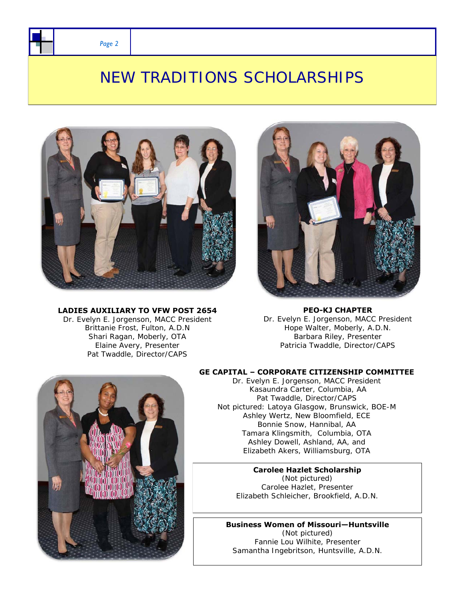*Page 2* 

### NEW TRADITIONS SCHOLARSHIPS



### **LADIES AUXILIARY TO VFW POST 2654**

Dr. Evelyn E. Jorgenson, MACC President Brittanie Frost, Fulton, A.D.N Shari Ragan, Moberly, OTA Elaine Avery, Presenter Pat Twaddle, Director/CAPS



**PEO-KJ CHAPTER** Dr. Evelyn E. Jorgenson, MACC President Hope Walter, Moberly, A.D.N. Barbara Riley, Presenter Patricia Twaddle, Director/CAPS

### **GE CAPITAL – CORPORATE CITIZENSHIP COMMITTEE**

Dr. Evelyn E. Jorgenson, MACC President Kasaundra Carter, Columbia, AA Pat Twaddle, Director/CAPS Not pictured: Latoya Glasgow, Brunswick, BOE-M Ashley Wertz, New Bloomfield, ECE Bonnie Snow, Hannibal, AA Tamara Klingsmith, Columbia, OTA Ashley Dowell, Ashland, AA, and Elizabeth Akers, Williamsburg, OTA

### **Carolee Hazlet Scholarship** (Not pictured) Carolee Hazlet, Presenter

Elizabeth Schleicher, Brookfield, A.D.N.

**Business Women of Missouri—Huntsville**  (Not pictured) Fannie Lou Wilhite, Presenter Samantha Ingebritson, Huntsville, A.D.N.

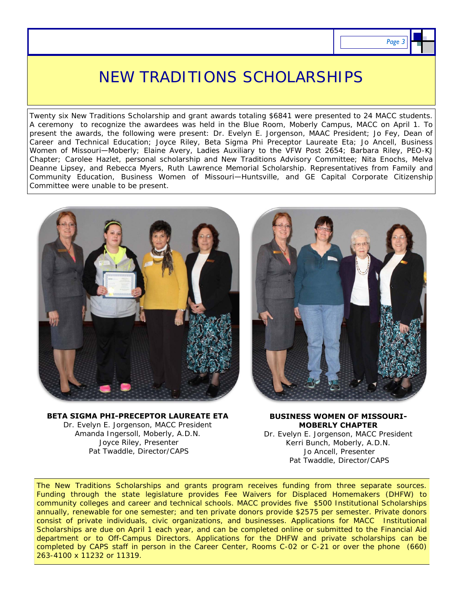### NEW TRADITIONS SCHOLARSHIPS

Twenty six New Traditions Scholarship and grant awards totaling \$6841 were presented to 24 MACC students. A ceremony to recognize the awardees was held in the Blue Room, Moberly Campus, MACC on April 1. To present the awards, the following were present: Dr. Evelyn E. Jorgenson, MAAC President; Jo Fey, Dean of Career and Technical Education; Joyce Riley, Beta Sigma Phi Preceptor Laureate Eta; Jo Ancell, Business Women of Missouri—Moberly; Elaine Avery, Ladies Auxiliary to the VFW Post 2654; Barbara Riley, PEO-KJ Chapter; Carolee Hazlet, personal scholarship and New Traditions Advisory Committee; Nita Enochs, Melva Deanne Lipsey, and Rebecca Myers, Ruth Lawrence Memorial Scholarship. Representatives from Family and Community Education, Business Women of Missouri—Huntsville, and GE Capital Corporate Citizenship Committee were unable to be present.



**BETA SIGMA PHI-PRECEPTOR LAUREATE ETA**  Dr. Evelyn E. Jorgenson, MACC President Amanda Ingersoll, Moberly, A.D.N. Joyce Riley, Presenter Pat Twaddle, Director/CAPS



#### **BUSINESS WOMEN OF MISSOURI-MOBERLY CHAPTER**

Dr. Evelyn E. Jorgenson, MACC President Kerri Bunch, Moberly, A.D.N. Jo Ancell, Presenter Pat Twaddle, Director/CAPS

The New Traditions Scholarships and grants program receives funding from three separate sources. Funding through the state legislature provides Fee Waivers for Displaced Homemakers (DHFW) to community colleges and career and technical schools. MACC provides five \$500 Institutional Scholarships annually, renewable for one semester; and ten private donors provide \$2575 per semester. Private donors consist of private individuals, civic organizations, and businesses. Applications for MACC Institutional Scholarships are due on April 1 each year, and can be completed online or submitted to the Financial Aid department or to Off-Campus Directors. Applications for the DHFW and private scholarships can be completed by CAPS staff in person in the Career Center, Rooms C-02 or C-21 or over the phone (660) 263-4100 x 11232 or 11319.

**Page**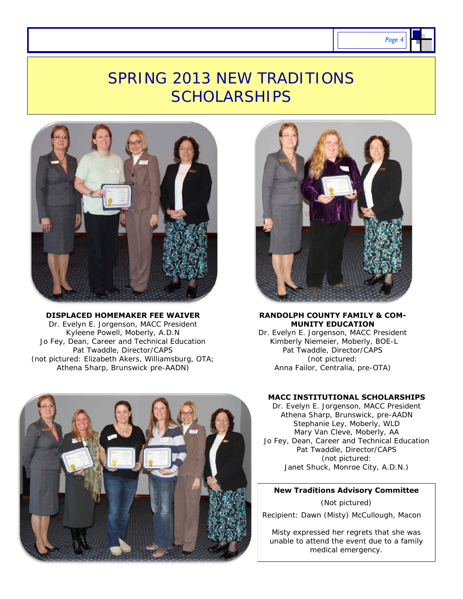## SPRING 2013 NEW TRADITIONS **SCHOLARSHIPS**



**DISPLACED HOMEMAKER FEE WAIVER**  Dr. Evelyn E. Jorgenson, MACC President Kyleene Powell, Moberly, A.D.N Jo Fey, Dean, Career and Technical Education Pat Twaddle, Director/CAPS (not pictured: Elizabeth Akers, Williamsburg, OTA; Athena Sharp, Brunswick pre-AADN)



#### **RANDOLPH COUNTY FAMILY & COM-MUNITY EDUCATION**

Dr. Evelyn E. Jorgenson, MACC President Kimberly Niemeier, Moberly, BOE-L Pat Twaddle, Director/CAPS (not pictured: Anna Failor, Centralia, pre-OTA)



### **MACC INSTITUTIONAL SCHOLARSHIPS**

Dr. Evelyn E. Jorgenson, MACC President Athena Sharp, Brunswick, pre-AADN Stephanie Ley, Moberly, WLD Mary Van Cleve, Moberly, AA Jo Fey, Dean, Career and Technical Education Pat Twaddle, Director/CAPS (not pictured: Janet Shuck, Monroe City, A.D.N.)

### **New Traditions Advisory Committee**

(Not pictured) Recipient: Dawn (Misty) McCullough, Macon

Misty expressed her regrets that she was unable to attend the event due to a family medical emergency.

*Page 4*